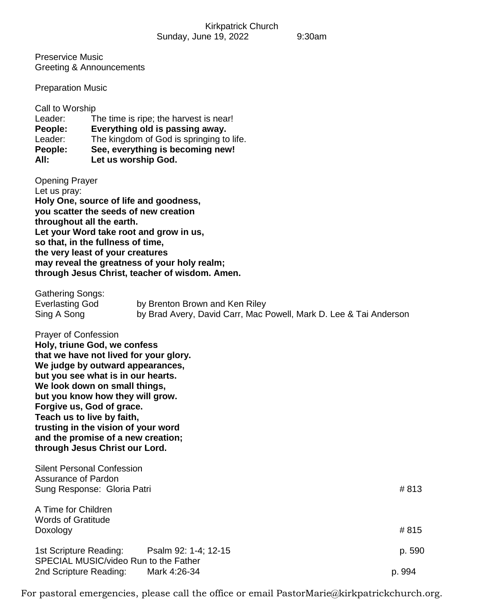Preservice Music Greeting & Announcements

Preparation Music

| Call to Worship<br>Leader:<br>People:<br>Leader:<br>People:<br>All: | The time is ripe; the harvest is near!<br>Everything old is passing away.<br>The kingdom of God is springing to life.<br>See, everything is becoming new!<br>Let us worship God.                                                                                                                                                                                                                |                  |
|---------------------------------------------------------------------|-------------------------------------------------------------------------------------------------------------------------------------------------------------------------------------------------------------------------------------------------------------------------------------------------------------------------------------------------------------------------------------------------|------------------|
| <b>Opening Prayer</b><br>Let us pray:                               | Holy One, source of life and goodness,<br>you scatter the seeds of new creation<br>throughout all the earth.<br>Let your Word take root and grow in us,<br>so that, in the fullness of time,<br>the very least of your creatures<br>may reveal the greatness of your holy realm;<br>through Jesus Christ, teacher of wisdom. Amen.                                                              |                  |
| <b>Gathering Songs:</b><br><b>Everlasting God</b><br>Sing A Song    | by Brenton Brown and Ken Riley<br>by Brad Avery, David Carr, Mac Powell, Mark D. Lee & Tai Anderson                                                                                                                                                                                                                                                                                             |                  |
| <b>Prayer of Confession</b>                                         | Holy, triune God, we confess<br>that we have not lived for your glory.<br>We judge by outward appearances,<br>but you see what is in our hearts.<br>We look down on small things,<br>but you know how they will grow.<br>Forgive us, God of grace.<br>Teach us to live by faith,<br>trusting in the vision of your word<br>and the promise of a new creation;<br>through Jesus Christ our Lord. |                  |
| <b>Assurance of Pardon</b>                                          | <b>Silent Personal Confession</b><br>Sung Response: Gloria Patri                                                                                                                                                                                                                                                                                                                                | #813             |
| A Time for Children<br><b>Words of Gratitude</b><br>Doxology        |                                                                                                                                                                                                                                                                                                                                                                                                 | #815             |
| 1st Scripture Reading:<br>2nd Scripture Reading:                    | Psalm 92: 1-4; 12-15<br>SPECIAL MUSIC/video Run to the Father<br>Mark 4:26-34                                                                                                                                                                                                                                                                                                                   | p. 590<br>p. 994 |

For pastoral emergencies, please call the office or email PastorMarie@kirkpatrickchurch.org.